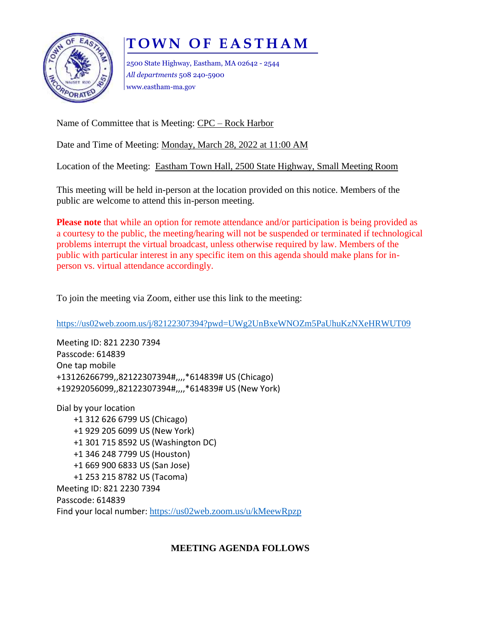# **T O W N O F E A S T H A M**



2500 State Highway, Eastham, MA 02642 - 2544 *All departments* 508 240-5900 www.eastham-ma.gov

Name of Committee that is Meeting: CPC – Rock Harbor

Date and Time of Meeting: Monday, March 28, 2022 at 11:00 AM

Location of the Meeting: Eastham Town Hall, 2500 State Highway, Small Meeting Room

This meeting will be held in-person at the location provided on this notice. Members of the public are welcome to attend this in-person meeting.

**Please note** that while an option for remote attendance and/or participation is being provided as a courtesy to the public, the meeting/hearing will not be suspended or terminated if technological problems interrupt the virtual broadcast, unless otherwise required by law. Members of the public with particular interest in any specific item on this agenda should make plans for inperson vs. virtual attendance accordingly.

To join the meeting via Zoom, either use this link to the meeting:

<https://us02web.zoom.us/j/82122307394?pwd=UWg2UnBxeWNOZm5PaUhuKzNXeHRWUT09>

Meeting ID: 821 2230 7394 Passcode: 614839 One tap mobile +13126266799,,82122307394#,,,,\*614839# US (Chicago) +19292056099,,82122307394#,,,,\*614839# US (New York)

Dial by your location +1 312 626 6799 US (Chicago) +1 929 205 6099 US (New York) +1 301 715 8592 US (Washington DC) +1 346 248 7799 US (Houston) +1 669 900 6833 US (San Jose) +1 253 215 8782 US (Tacoma) Meeting ID: 821 2230 7394 Passcode: 614839 Find your local number: <https://us02web.zoom.us/u/kMeewRpzp>

## **MEETING AGENDA FOLLOWS**